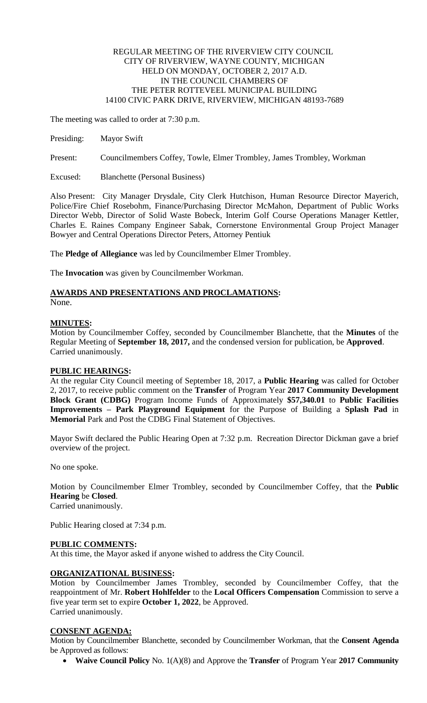# REGULAR MEETING OF THE RIVERVIEW CITY COUNCIL CITY OF RIVERVIEW, WAYNE COUNTY, MICHIGAN HELD ON MONDAY, OCTOBER 2, 2017 A.D. IN THE COUNCIL CHAMBERS OF THE PETER ROTTEVEEL MUNICIPAL BUILDING 14100 CIVIC PARK DRIVE, RIVERVIEW, MICHIGAN 48193-7689

The meeting was called to order at 7:30 p.m.

Presiding: Mayor Swift

Present: Councilmembers Coffey, Towle, Elmer Trombley, James Trombley, Workman

Excused: Blanchette (Personal Business)

Also Present: City Manager Drysdale, City Clerk Hutchison, Human Resource Director Mayerich, Police/Fire Chief Rosebohm, Finance/Purchasing Director McMahon, Department of Public Works Director Webb, Director of Solid Waste Bobeck, Interim Golf Course Operations Manager Kettler, Charles E. Raines Company Engineer Sabak, Cornerstone Environmental Group Project Manager Bowyer and Central Operations Director Peters, Attorney Pentiuk

The **Pledge of Allegiance** was led by Councilmember Elmer Trombley.

The **Invocation** was given by Councilmember Workman.

# **AWARDS AND PRESENTATIONS AND PROCLAMATIONS:**

None.

### **MINUTES:**

Motion by Councilmember Coffey, seconded by Councilmember Blanchette, that the **Minutes** of the Regular Meeting of **September 18, 2017,** and the condensed version for publication, be **Approved**. Carried unanimously.

# **PUBLIC HEARINGS:**

At the regular City Council meeting of September 18, 2017, a **Public Hearing** was called for October 2, 2017, to receive public comment on the **Transfer** of Program Year **2017 Community Development Block Grant (CDBG)** Program Income Funds of Approximately **\$57,340.01** to **Public Facilities Improvements – Park Playground Equipment** for the Purpose of Building a **Splash Pad** in **Memorial** Park and Post the CDBG Final Statement of Objectives.

Mayor Swift declared the Public Hearing Open at 7:32 p.m. Recreation Director Dickman gave a brief overview of the project.

No one spoke.

Motion by Councilmember Elmer Trombley, seconded by Councilmember Coffey, that the **Public Hearing** be **Closed**.

Carried unanimously.

Public Hearing closed at 7:34 p.m.

# **PUBLIC COMMENTS:**

At this time, the Mayor asked if anyone wished to address the City Council.

# **ORGANIZATIONAL BUSINESS:**

Motion by Councilmember James Trombley, seconded by Councilmember Coffey, that the reappointment of Mr. **Robert Hohlfelder** to the **Local Officers Compensation** Commission to serve a five year term set to expire **October 1, 2022**, be Approved. Carried unanimously.

# **CONSENT AGENDA:**

Motion by Councilmember Blanchette, seconded by Councilmember Workman, that the **Consent Agenda**  be Approved as follows:

**Waive Council Policy** No. 1(A)(8) and Approve the **Transfer** of Program Year **2017 Community**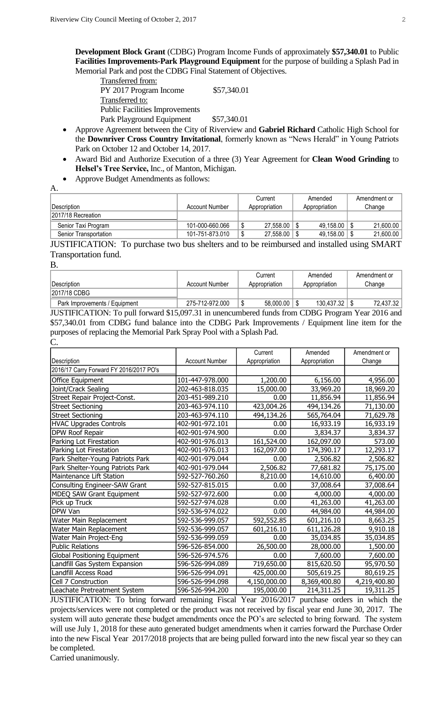**Development Block Grant** (CDBG) Program Income Funds of approximately **\$57,340.01** to Public **Facilities Improvements-Park Playground Equipment** for the purpose of building a Splash Pad in Memorial Park and post the CDBG Final Statement of Objectives.

| Transferred from:                     |             |
|---------------------------------------|-------------|
| PY 2017 Program Income                | \$57,340.01 |
| Transferred to:                       |             |
| <b>Public Facilities Improvements</b> |             |
| Park Playground Equipment             | \$57,340.01 |

- Approve Agreement between the City of Riverview and **Gabriel Richard** Catholic High School for the **Downriver Cross Country Invitational**, formerly known as "News Herald" in Young Patriots Park on October 12 and October 14, 2017.
- Award Bid and Authorize Execution of a three (3) Year Agreement for **Clean Wood Grinding** to **Helsel's Tree Service,** Inc., of Manton, Michigan.
- Approve Budget Amendments as follows:

|                                                                                                                                                                                                                                                                                                            |                 | Current        | Amended          | Amendment or |
|------------------------------------------------------------------------------------------------------------------------------------------------------------------------------------------------------------------------------------------------------------------------------------------------------------|-----------------|----------------|------------------|--------------|
| Description                                                                                                                                                                                                                                                                                                | Account Number  | Appropriation  | Appropriation    | Change       |
| 2017/18 Recreation                                                                                                                                                                                                                                                                                         |                 |                |                  |              |
| Senior Taxi Program                                                                                                                                                                                                                                                                                        | 101-000-660.066 | 27.558.00<br>ึ | $49,158.00$ \ \$ | 21.600.00    |
| Senior Transportation                                                                                                                                                                                                                                                                                      | 101-751-873.010 | 27,558.00<br>∩ | $49,158.00$   \$ | 21,600.00    |
| $\mathbf{H}$ is $\mathbf{H}$ is $\mathbf{H}$ is $\mathbf{H}$ is $\mathbf{H}$ is $\mathbf{H}$ is $\mathbf{H}$ is $\mathbf{H}$ is $\mathbf{H}$ is $\mathbf{H}$ is $\mathbf{H}$ is $\mathbf{H}$ is $\mathbf{H}$ is $\mathbf{H}$ is $\mathbf{H}$ is $\mathbf{H}$ is $\mathbf{H}$ is $\mathbf{H}$ is $\mathbf{$ |                 |                | $\blacksquare$   | $\alpha$     |

JUSTIFICATION: To purchase two bus shelters and to be reimbursed and installed using SMART Transportation fund.

B.

 $\Delta$ 

|                               |                 | Current       | Amended       | Amendment or |
|-------------------------------|-----------------|---------------|---------------|--------------|
| Description                   | Account Number  | Appropriation | Appropriation | Change       |
| 2017/18 CDBG                  |                 |               |               |              |
| Park Improvements / Equipment | 275-712-972.000 | 58,000.00     | 130,437.32    | 72.437.32    |
|                               |                 |               |               |              |

JUSTIFICATION: To pull forward \$15,097.31 in unencumbered funds from CDBG Program Year 2016 and \$57,340.01 from CDBG fund balance into the CDBG Park Improvements / Equipment line item for the purposes of replacing the Memorial Park Spray Pool with a Splash Pad. C.

|                                         |                       | Current       | Amended       | Amendment or |
|-----------------------------------------|-----------------------|---------------|---------------|--------------|
| Description                             | <b>Account Number</b> | Appropriation | Appropriation | Change       |
| 2016/17 Carry Forward FY 2016/2017 PO's |                       |               |               |              |
| Office Equipment                        | 101-447-978.000       | 1,200.00      | 6,156.00      | 4,956.00     |
| Joint/Crack Sealing                     | 202-463-818.035       | 15,000.00     | 33,969.20     | 18,969.20    |
| Street Repair Project-Const.            | 203-451-989.210       | 0.00          | 11,856.94     | 11,856.94    |
| <b>Street Sectioning</b>                | 203-463-974.110       | 423,004.26    | 494,134.26    | 71,130.00    |
| <b>Street Sectioning</b>                | 203-463-974.110       | 494,134.26    | 565,764.04    | 71,629.78    |
| <b>HVAC Upgrades Controls</b>           | 402-901-972.101       | 0.00          | 16,933.19     | 16,933.19    |
| <b>DPW Roof Repair</b>                  | 402-901-974.900       | 0.00          | 3,834.37      | 3,834.37     |
| Parking Lot Firestation                 | 402-901-976.013       | 161,524.00    | 162,097.00    | 573.00       |
| Parking Lot Firestation                 | 402-901-976.013       | 162,097.00    | 174,390.17    | 12,293.17    |
| Park Shelter-Young Patriots Park        | 402-901-979.044       | 0.00          | 2,506.82      | 2,506.82     |
| Park Shelter-Young Patriots Park        | 402-901-979.044       | 2,506.82      | 77,681.82     | 75,175.00    |
| Maintenance Lift Station                | 592-527-760.260       | 8,210.00      | 14,610.00     | 6,400.00     |
| Consulting Engineer-SAW Grant           | 592-527-815.015       | 0.00          | 37,008.64     | 37,008.64    |
| MDEQ SAW Grant Equipment                | 592-527-972.600       | 0.00          | 4,000.00      | 4,000.00     |
| Pick up Truck                           | 592-527-974.028       | 0.00          | 41,263.00     | 41,263.00    |
| <b>IDPW Van</b>                         | 592-536-974.022       | 0.00          | 44,984.00     | 44,984.00    |
| Water Main Replacement                  | 592-536-999.057       | 592,552.85    | 601,216.10    | 8,663.25     |
| Water Main Replacement                  | 592-536-999.057       | 601,216.10    | 611,126.28    | 9,910.18     |
| Water Main Project-Eng                  | 592-536-999.059       | 0.00          | 35,034.85     | 35,034.85    |
| <b>Public Relations</b>                 | 596-526-854.000       | 26,500.00     | 28,000.00     | 1,500.00     |
| Global Positioning Equipment            | 596-526-974.576       | 0.00          | 7,600.00      | 7,600.00     |
| Landfill Gas System Expansion           | 596-526-994.089       | 719,650.00    | 815,620.50    | 95,970.50    |
| Landfill Access Road                    | 596-526-994.091       | 425,000.00    | 505,619.25    | 80,619.25    |
| Cell 7 Construction                     | 596-526-994.098       | 4,150,000.00  | 8,369,400.80  | 4,219,400.80 |
| Leachate Pretreatment System            | 596-526-994.200       | 195,000.00    | 214,311.25    | 19,311.25    |

JUSTIFICATION: To bring forward remaining Fiscal Year 2016/2017 purchase orders in which the projects/services were not completed or the product was not received by fiscal year end June 30, 2017. The system will auto generate these budget amendments once the PO's are selected to bring forward. The system will use July 1, 2018 for these auto generated budget amendments when it carries forward the Purchase Order into the new Fiscal Year 2017/2018 projects that are being pulled forward into the new fiscal year so they can be completed.

Carried unanimously.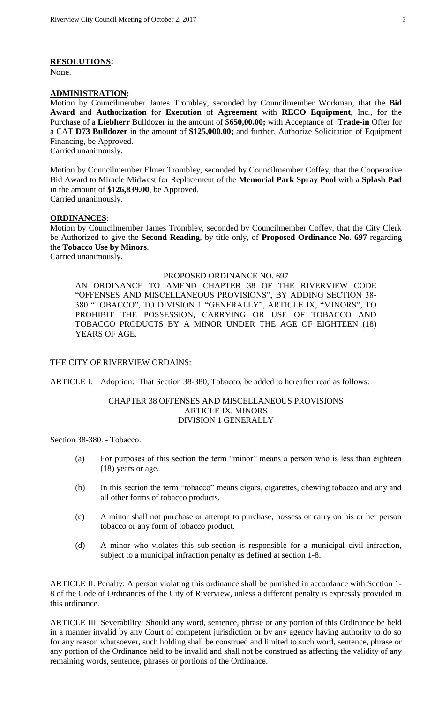#### **RESOLUTIONS:**

None.

#### **ADMINISTRATION:**

Motion by Councilmember James Trombley, seconded by Councilmember Workman, that the **Bid Award** and **Authorization** for **Execution** of **Agreement** with **RECO Equipment**, Inc., for the Purchase of a **Liebherr** Bulldozer in the amount of \$**650,00.00;** with Acceptance of **Trade-in** Offer for a CAT **D73 Bulldozer** in the amount of **\$125,000.00;** and further, Authorize Solicitation of Equipment Financing, be Approved. Carried unanimously.

Motion by Councilmember Elmer Trombley, seconded by Councilmember Coffey, that the Cooperative Bid Award to Miracle Midwest for Replacement of the **Memorial Park Spray Pool** with a **Splash Pad**  in the amount of **\$126,839.00**, be Approved. Carried unanimously.

**ORDINANCES**:

Motion by Councilmember James Trombley, seconded by Councilmember Coffey, that the City Clerk be Authorized to give the **Second Reading**, by title only, of **Proposed Ordinance No. 697** regarding the **Tobacco Use by Minors**.

Carried unanimously.

#### PROPOSED ORDINANCE NO. 697

AN ORDINANCE TO AMEND CHAPTER 38 OF THE RIVERVIEW CODE "OFFENSES AND MISCELLANEOUS PROVISIONS", BY ADDING SECTION 38- 380 "TOBACCO", TO DIVISION 1 "GENERALLY", ARTICLE IX, "MINORS", TO PROHIBIT THE POSSESSION, CARRYING OR USE OF TOBACCO AND TOBACCO PRODUCTS BY A MINOR UNDER THE AGE OF EIGHTEEN (18) YEARS OF AGE.

#### THE CITY OF RIVERVIEW ORDAINS:

ARTICLE I. Adoption: That Section 38-380, Tobacco, be added to hereafter read as follows:

#### CHAPTER 38 OFFENSES AND MISCELLANEOUS PROVISIONS ARTICLE IX. MINORS DIVISION 1 GENERALLY

Section 38-380. - Tobacco.

- (a) For purposes of this section the term "minor" means a person who is less than eighteen (18) years or age.
- (b) In this section the term "tobacco" means cigars, cigarettes, chewing tobacco and any and all other forms of tobacco products.
- (c) A minor shall not purchase or attempt to purchase, possess or carry on his or her person tobacco or any form of tobacco product.
- (d) A minor who violates this sub-section is responsible for a municipal civil infraction, subject to a municipal infraction penalty as defined at section 1-8.

ARTICLE II. Penalty: A person violating this ordinance shall be punished in accordance with Section 1- 8 of the Code of Ordinances of the City of Riverview, unless a different penalty is expressly provided in this ordinance.

ARTICLE III. Severability: Should any word, sentence, phrase or any portion of this Ordinance be held in a manner invalid by any Court of competent jurisdiction or by any agency having authority to do so for any reason whatsoever, such holding shall be construed and limited to such word, sentence, phrase or any portion of the Ordinance held to be invalid and shall not be construed as affecting the validity of any remaining words, sentence, phrases or portions of the Ordinance.